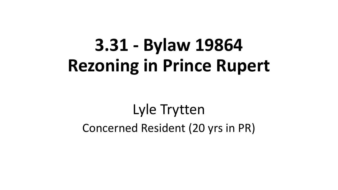# **3.31 - Bylaw 19864 Rezoning in Prince Rupert**

## Lyle Trytten Concerned Resident (20 yrs in PR)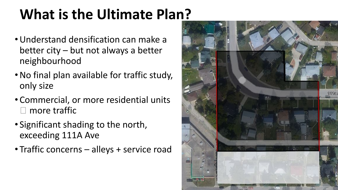# **What is the Ultimate Plan?**

- •Understand densification can make a better city – but not always a better neighbourhood
- •No final plan available for traffic study, only size
- Commercial, or more residential units more traffic
- Significant shading to the north, exceeding 111A Ave
- Traffic concerns alleys + service road

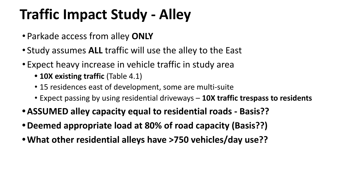# **Traffic Impact Study - Alley**

- Parkade access from alley **ONLY**
- Study assumes **ALL** traffic will use the alley to the East
- Expect heavy increase in vehicle traffic in study area
	- **• 10X existing traffic** (Table 4.1)
	- 15 residences east of development, some are multi-suite
	- Expect passing by using residential driveways **10X traffic trespass to residents**
- **•ASSUMED alley capacity equal to residential roads Basis??**
- **•Deemed appropriate load at 80% of road capacity (Basis??)**
- **•What other residential alleys have >750 vehicles/day use??**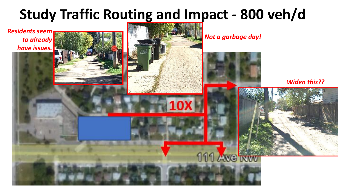### **Study Traffic Routing and Impact - 800 veh/d**

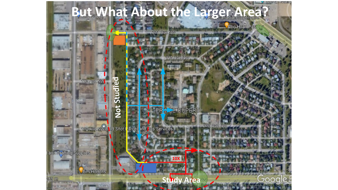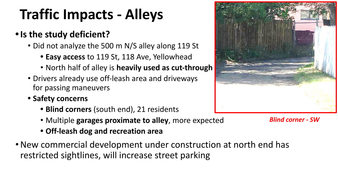# **Traffic Impacts - Alleys**

#### **•Is the study deficient?**

- Did not analyze the 500 m N/S alley along 119 St
	- **• Easy access** to 119 St, 118 Ave, Yellowhead
	- North half of alley is **heavily used as cut-through**
- Drivers already use off-leash area and driveways for passing maneuvers
- **• Safety concerns**
	- **• Blind corners** (south end), 21 residents
	- Multiple **garages proximate to alley**, more expected
	- **• Off-leash dog and recreation area**
- •New commercial development under construction at north end has restricted sightlines, will increase street parking



*Blind corner - SW*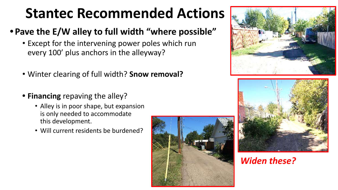## **Stantec Recommended Actions**

#### **• Pave the E/W alley to full width "where possible"**

- Except for the intervening power poles which run every 100' plus anchors in the alleyway?
- Winter clearing of full width? **Snow removal?**
- **• Financing** repaving the alley?
	- Alley is in poor shape, but expansion is only needed to accommodate this development.
	- Will current residents be burdened?







#### *Widen these?*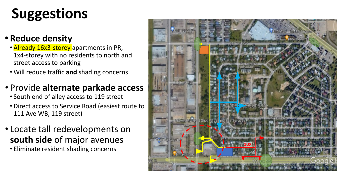# **Suggestions**

#### **• Reduce density**

- **Already 16x3-storey** apartments in PR, 1x4-storey with no residents to north and street access to parking
- Will reduce traffic **and** shading concerns

#### • Provide **alternate parkade access**

- South end of alley access to 119 street
- Direct access to Service Road (easiest route to 111 Ave WB, 119 street)
- Locate tall redevelopments on **south side** of major avenues
	- Eliminate resident shading concerns